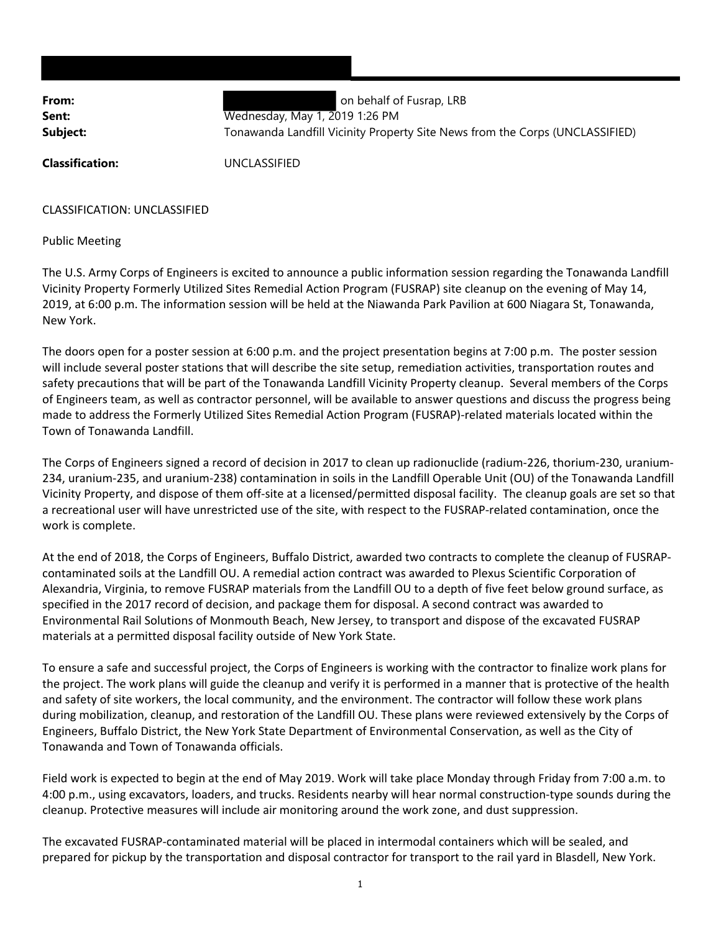**From: From: behalf of Fusrap, LRB Sent:** Wednesday, May 1, 2019 1:26 PM **Subject:** Tonawanda Landfill Vicinity Property Site News from the Corps (UNCLASSIFIED)

**Classification:** UNCLASSIFIED

CLASSIFICATION: UNCLASSIFIED

Public Meeting

The U.S. Army Corps of Engineers is excited to announce a public information session regarding the Tonawanda Landfill Vicinity Property Formerly Utilized Sites Remedial Action Program (FUSRAP) site cleanup on the evening of May 14, 2019, at 6:00 p.m. The information session will be held at the Niawanda Park Pavilion at 600 Niagara St, Tonawanda, New York.

The doors open for a poster session at 6:00 p.m. and the project presentation begins at 7:00 p.m. The poster session will include several poster stations that will describe the site setup, remediation activities, transportation routes and safety precautions that will be part of the Tonawanda Landfill Vicinity Property cleanup. Several members of the Corps of Engineers team, as well as contractor personnel, will be available to answer questions and discuss the progress being made to address the Formerly Utilized Sites Remedial Action Program (FUSRAP)‐related materials located within the Town of Tonawanda Landfill.

The Corps of Engineers signed a record of decision in 2017 to clean up radionuclide (radium‐226, thorium‐230, uranium‐ 234, uranium‐235, and uranium‐238) contamination in soils in the Landfill Operable Unit (OU) of the Tonawanda Landfill Vicinity Property, and dispose of them off‐site at a licensed/permitted disposal facility. The cleanup goals are set so that a recreational user will have unrestricted use of the site, with respect to the FUSRAP‐related contamination, once the work is complete.

At the end of 2018, the Corps of Engineers, Buffalo District, awarded two contracts to complete the cleanup of FUSRAP‐ contaminated soils at the Landfill OU. A remedial action contract was awarded to Plexus Scientific Corporation of Alexandria, Virginia, to remove FUSRAP materials from the Landfill OU to a depth of five feet below ground surface, as specified in the 2017 record of decision, and package them for disposal. A second contract was awarded to Environmental Rail Solutions of Monmouth Beach, New Jersey, to transport and dispose of the excavated FUSRAP materials at a permitted disposal facility outside of New York State.

To ensure a safe and successful project, the Corps of Engineers is working with the contractor to finalize work plans for the project. The work plans will guide the cleanup and verify it is performed in a manner that is protective of the health and safety of site workers, the local community, and the environment. The contractor will follow these work plans during mobilization, cleanup, and restoration of the Landfill OU. These plans were reviewed extensively by the Corps of Engineers, Buffalo District, the New York State Department of Environmental Conservation, as well as the City of Tonawanda and Town of Tonawanda officials.

Field work is expected to begin at the end of May 2019. Work will take place Monday through Friday from 7:00 a.m. to 4:00 p.m., using excavators, loaders, and trucks. Residents nearby will hear normal construction‐type sounds during the cleanup. Protective measures will include air monitoring around the work zone, and dust suppression.

The excavated FUSRAP‐contaminated material will be placed in intermodal containers which will be sealed, and prepared for pickup by the transportation and disposal contractor for transport to the rail yard in Blasdell, New York.